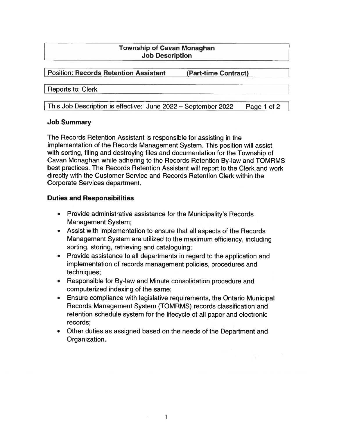## Township of Cavan Monaghan Job Description

Position: Records Retention Assistant (Part-time Contract)

#### Reports to: Clerk

This Job Description is effective: June 2022 — September 2022 Page <sup>1</sup> of <sup>2</sup>

#### Job Summary

The Records Retention Assistant is responsible for assisting in the implementation of the Records Management System. This position will assist with sorting, filing and destroying files and documentation for the Township of Cavan Monaghan while adhering to the Records Retention By-law and TOMRMS best practices. The Records Retention Assistant will repor<sup>t</sup> to the Clerk and work directly with the Customer Service and Records Retention Clerk within the Corporate Services department.

## Duties and Responsibilities

- Provide administrative assistance for the Municipality's Records Management System;
- Assist with implementation to ensure that all aspects of the Records Management System are utilized to the maximum efficiency, including sorting, storing, retrieving and cataloguing;
- $\bullet$  Provide assistance to all departments in regard to the application and implementation of records managemen<sup>t</sup> policies, procedures and techniques;
- Responsible for By-law and Minute consolidation procedure and computerized indexing of the same;
- Ensure compliance with legislative requirements, the Ontario Municipal Records Management System (TOMRMS) records classification and retention schedule system for the lifecycle of all paper and electronic records;
- • Other duties as assigned based on the needs of the Department and Organization.